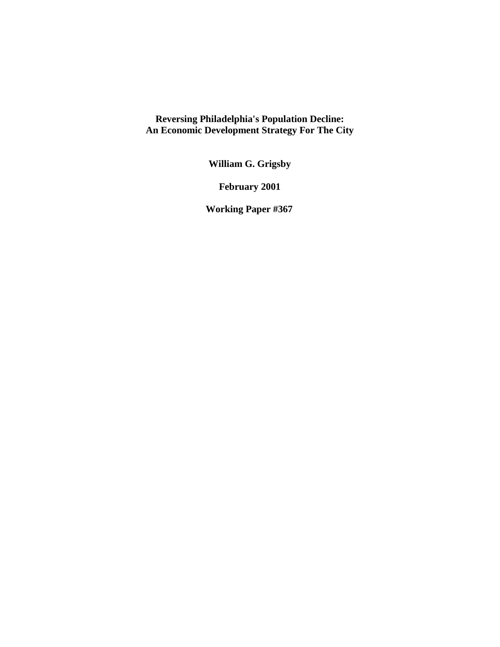**Reversing Philadelphia's Population Decline: An Economic Development Strategy For The City** 

**William G. Grigsby** 

**February 2001** 

 **Working Paper #367**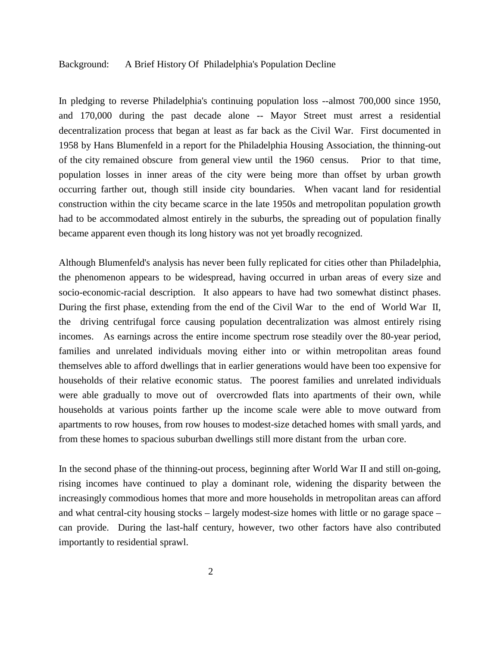## Background: A Brief History Of Philadelphia's Population Decline

In pledging to reverse Philadelphia's continuing population loss --almost 700,000 since 1950, and 170,000 during the past decade alone -- Mayor Street must arrest a residential decentralization process that began at least as far back as the Civil War. First documented in 1958 by Hans Blumenfeld in a report for the Philadelphia Housing Association, the thinning-out of the city remained obscure from general view until the 1960 census. Prior to that time, population losses in inner areas of the city were being more than offset by urban growth occurring farther out, though still inside city boundaries. When vacant land for residential construction within the city became scarce in the late 1950s and metropolitan population growth had to be accommodated almost entirely in the suburbs, the spreading out of population finally became apparent even though its long history was not yet broadly recognized.

Although Blumenfeld's analysis has never been fully replicated for cities other than Philadelphia, the phenomenon appears to be widespread, having occurred in urban areas of every size and socio-economic-racial description. It also appears to have had two somewhat distinct phases. During the first phase, extending from the end of the Civil War to the end of World War II, the driving centrifugal force causing population decentralization was almost entirely rising incomes. As earnings across the entire income spectrum rose steadily over the 80-year period, families and unrelated individuals moving either into or within metropolitan areas found themselves able to afford dwellings that in earlier generations would have been too expensive for households of their relative economic status. The poorest families and unrelated individuals were able gradually to move out of overcrowded flats into apartments of their own, while households at various points farther up the income scale were able to move outward from apartments to row houses, from row houses to modest-size detached homes with small yards, and from these homes to spacious suburban dwellings still more distant from the urban core.

In the second phase of the thinning-out process, beginning after World War II and still on-going, rising incomes have continued to play a dominant role, widening the disparity between the increasingly commodious homes that more and more households in metropolitan areas can afford and what central-city housing stocks – largely modest-size homes with little or no garage space – can provide. During the last-half century, however, two other factors have also contributed importantly to residential sprawl.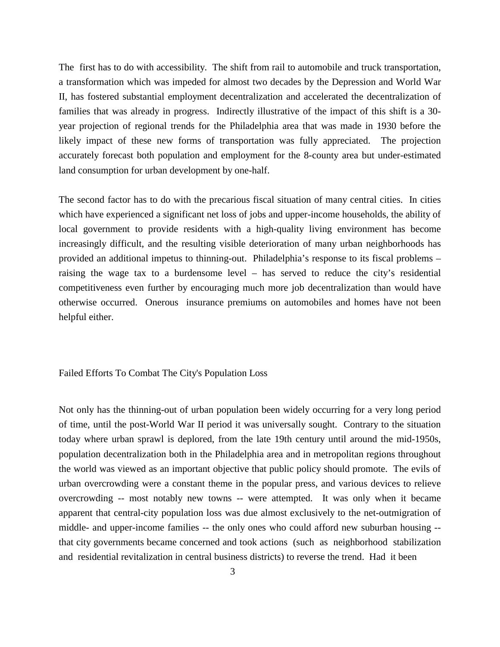The first has to do with accessibility. The shift from rail to automobile and truck transportation, a transformation which was impeded for almost two decades by the Depression and World War II, has fostered substantial employment decentralization and accelerated the decentralization of families that was already in progress. Indirectly illustrative of the impact of this shift is a 30 year projection of regional trends for the Philadelphia area that was made in 1930 before the likely impact of these new forms of transportation was fully appreciated. The projection accurately forecast both population and employment for the 8-county area but under-estimated land consumption for urban development by one-half.

The second factor has to do with the precarious fiscal situation of many central cities. In cities which have experienced a significant net loss of jobs and upper-income households, the ability of local government to provide residents with a high-quality living environment has become increasingly difficult, and the resulting visible deterioration of many urban neighborhoods has provided an additional impetus to thinning-out. Philadelphia's response to its fiscal problems – raising the wage tax to a burdensome level – has served to reduce the city's residential competitiveness even further by encouraging much more job decentralization than would have otherwise occurred. Onerous insurance premiums on automobiles and homes have not been helpful either.

## Failed Efforts To Combat The City's Population Loss

Not only has the thinning-out of urban population been widely occurring for a very long period of time, until the post-World War II period it was universally sought. Contrary to the situation today where urban sprawl is deplored, from the late 19th century until around the mid-1950s, population decentralization both in the Philadelphia area and in metropolitan regions throughout the world was viewed as an important objective that public policy should promote. The evils of urban overcrowding were a constant theme in the popular press, and various devices to relieve overcrowding -- most notably new towns -- were attempted. It was only when it became apparent that central-city population loss was due almost exclusively to the net-outmigration of middle- and upper-income families -- the only ones who could afford new suburban housing - that city governments became concerned and took actions (such as neighborhood stabilization and residential revitalization in central business districts) to reverse the trend. Had it been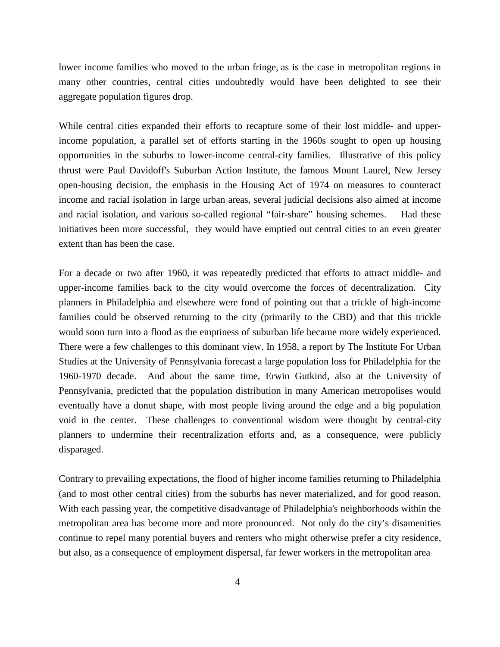lower income families who moved to the urban fringe, as is the case in metropolitan regions in many other countries, central cities undoubtedly would have been delighted to see their aggregate population figures drop.

While central cities expanded their efforts to recapture some of their lost middle- and upperincome population, a parallel set of efforts starting in the 1960s sought to open up housing opportunities in the suburbs to lower-income central-city families. Illustrative of this policy thrust were Paul Davidoff's Suburban Action Institute, the famous Mount Laurel, New Jersey open-housing decision, the emphasis in the Housing Act of 1974 on measures to counteract income and racial isolation in large urban areas, several judicial decisions also aimed at income and racial isolation, and various so-called regional "fair-share" housing schemes. Had these initiatives been more successful, they would have emptied out central cities to an even greater extent than has been the case.

For a decade or two after 1960, it was repeatedly predicted that efforts to attract middle- and upper-income families back to the city would overcome the forces of decentralization. City planners in Philadelphia and elsewhere were fond of pointing out that a trickle of high-income families could be observed returning to the city (primarily to the CBD) and that this trickle would soon turn into a flood as the emptiness of suburban life became more widely experienced. There were a few challenges to this dominant view. In 1958, a report by The Institute For Urban Studies at the University of Pennsylvania forecast a large population loss for Philadelphia for the 1960-1970 decade. And about the same time, Erwin Gutkind, also at the University of Pennsylvania, predicted that the population distribution in many American metropolises would eventually have a donut shape, with most people living around the edge and a big population void in the center. These challenges to conventional wisdom were thought by central-city planners to undermine their recentralization efforts and, as a consequence, were publicly disparaged.

Contrary to prevailing expectations, the flood of higher income families returning to Philadelphia (and to most other central cities) from the suburbs has never materialized, and for good reason. With each passing year, the competitive disadvantage of Philadelphia's neighborhoods within the metropolitan area has become more and more pronounced. Not only do the city's disamenities continue to repel many potential buyers and renters who might otherwise prefer a city residence, but also, as a consequence of employment dispersal, far fewer workers in the metropolitan area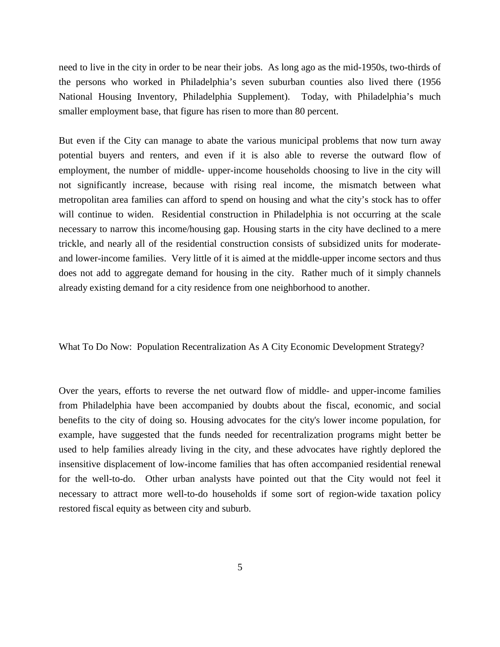need to live in the city in order to be near their jobs. As long ago as the mid-1950s, two-thirds of the persons who worked in Philadelphia's seven suburban counties also lived there (1956 National Housing Inventory, Philadelphia Supplement). Today, with Philadelphia's much smaller employment base, that figure has risen to more than 80 percent.

But even if the City can manage to abate the various municipal problems that now turn away potential buyers and renters, and even if it is also able to reverse the outward flow of employment, the number of middle- upper-income households choosing to live in the city will not significantly increase, because with rising real income, the mismatch between what metropolitan area families can afford to spend on housing and what the city's stock has to offer will continue to widen. Residential construction in Philadelphia is not occurring at the scale necessary to narrow this income/housing gap. Housing starts in the city have declined to a mere trickle, and nearly all of the residential construction consists of subsidized units for moderateand lower-income families. Very little of it is aimed at the middle-upper income sectors and thus does not add to aggregate demand for housing in the city. Rather much of it simply channels already existing demand for a city residence from one neighborhood to another.

What To Do Now: Population Recentralization As A City Economic Development Strategy?

Over the years, efforts to reverse the net outward flow of middle- and upper-income families from Philadelphia have been accompanied by doubts about the fiscal, economic, and social benefits to the city of doing so. Housing advocates for the city's lower income population, for example, have suggested that the funds needed for recentralization programs might better be used to help families already living in the city, and these advocates have rightly deplored the insensitive displacement of low-income families that has often accompanied residential renewal for the well-to-do. Other urban analysts have pointed out that the City would not feel it necessary to attract more well-to-do households if some sort of region-wide taxation policy restored fiscal equity as between city and suburb.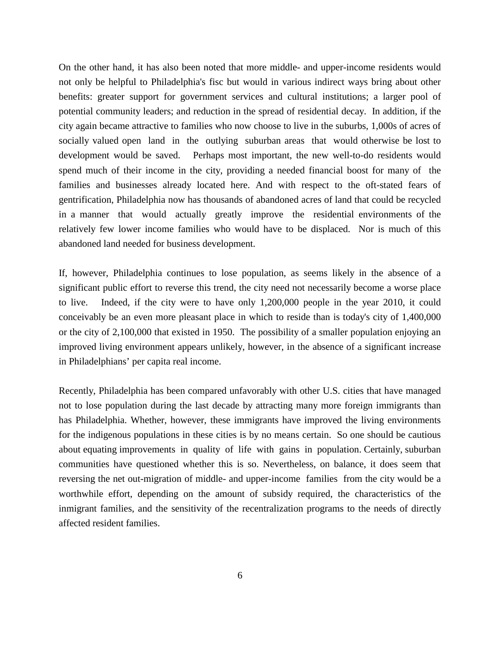On the other hand, it has also been noted that more middle- and upper-income residents would not only be helpful to Philadelphia's fisc but would in various indirect ways bring about other benefits: greater support for government services and cultural institutions; a larger pool of potential community leaders; and reduction in the spread of residential decay. In addition, if the city again became attractive to families who now choose to live in the suburbs, 1,000s of acres of socially valued open land in the outlying suburban areas that would otherwise be lost to development would be saved. Perhaps most important, the new well-to-do residents would spend much of their income in the city, providing a needed financial boost for many of the families and businesses already located here. And with respect to the oft-stated fears of gentrification, Philadelphia now has thousands of abandoned acres of land that could be recycled in a manner that would actually greatly improve the residential environments of the relatively few lower income families who would have to be displaced. Nor is much of this abandoned land needed for business development.

If, however, Philadelphia continues to lose population, as seems likely in the absence of a significant public effort to reverse this trend, the city need not necessarily become a worse place to live. Indeed, if the city were to have only 1,200,000 people in the year 2010, it could conceivably be an even more pleasant place in which to reside than is today's city of 1,400,000 or the city of 2,100,000 that existed in 1950. The possibility of a smaller population enjoying an improved living environment appears unlikely, however, in the absence of a significant increase in Philadelphians' per capita real income.

Recently, Philadelphia has been compared unfavorably with other U.S. cities that have managed not to lose population during the last decade by attracting many more foreign immigrants than has Philadelphia. Whether, however, these immigrants have improved the living environments for the indigenous populations in these cities is by no means certain. So one should be cautious about equating improvements in quality of life with gains in population. Certainly, suburban communities have questioned whether this is so. Nevertheless, on balance, it does seem that reversing the net out-migration of middle- and upper-income families from the city would be a worthwhile effort, depending on the amount of subsidy required, the characteristics of the inmigrant families, and the sensitivity of the recentralization programs to the needs of directly affected resident families.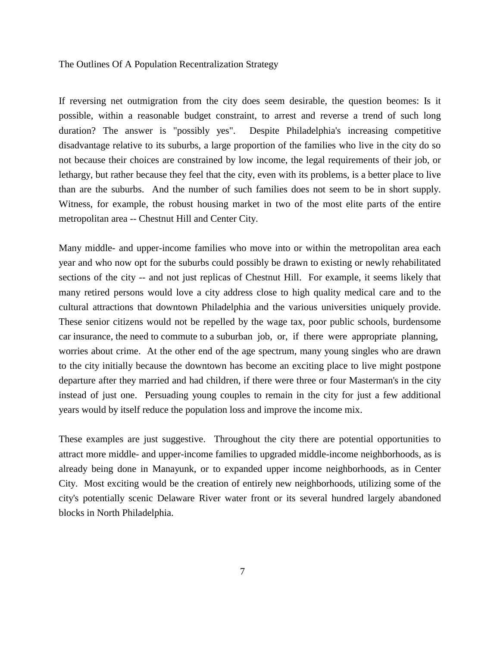## The Outlines Of A Population Recentralization Strategy

If reversing net outmigration from the city does seem desirable, the question beomes: Is it possible, within a reasonable budget constraint, to arrest and reverse a trend of such long duration? The answer is "possibly yes". Despite Philadelphia's increasing competitive disadvantage relative to its suburbs, a large proportion of the families who live in the city do so not because their choices are constrained by low income, the legal requirements of their job, or lethargy, but rather because they feel that the city, even with its problems, is a better place to live than are the suburbs. And the number of such families does not seem to be in short supply. Witness, for example, the robust housing market in two of the most elite parts of the entire metropolitan area -- Chestnut Hill and Center City.

Many middle- and upper-income families who move into or within the metropolitan area each year and who now opt for the suburbs could possibly be drawn to existing or newly rehabilitated sections of the city -- and not just replicas of Chestnut Hill. For example, it seems likely that many retired persons would love a city address close to high quality medical care and to the cultural attractions that downtown Philadelphia and the various universities uniquely provide. These senior citizens would not be repelled by the wage tax, poor public schools, burdensome car insurance, the need to commute to a suburban job, or, if there were appropriate planning, worries about crime. At the other end of the age spectrum, many young singles who are drawn to the city initially because the downtown has become an exciting place to live might postpone departure after they married and had children, if there were three or four Masterman's in the city instead of just one. Persuading young couples to remain in the city for just a few additional years would by itself reduce the population loss and improve the income mix.

These examples are just suggestive. Throughout the city there are potential opportunities to attract more middle- and upper-income families to upgraded middle-income neighborhoods, as is already being done in Manayunk, or to expanded upper income neighborhoods, as in Center City. Most exciting would be the creation of entirely new neighborhoods, utilizing some of the city's potentially scenic Delaware River water front or its several hundred largely abandoned blocks in North Philadelphia.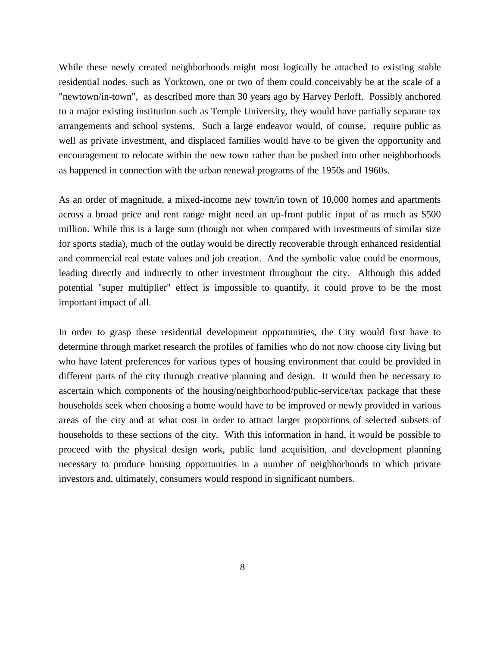While these newly created neighborhoods might most logically be attached to existing stable residential nodes, such as Yorktown, one or two of them could conceivably be at the scale of a "newtown/in-town", as described more than 30 years ago by Harvey Perloff. Possibly anchored to a major existing institution such as Temple University, they would have partially separate tax arrangements and school systems. Such a large endeavor would, of course, require public as well as private investment, and displaced families would have to be given the opportunity and encouragement to relocate within the new town rather than be pushed into other neighborhoods as happened in connection with the urban renewal programs of the 1950s and 1960s.

As an order of magnitude, a mixed-income new town/in town of 10,000 homes and apartments across a broad price and rent range might need an up-front public input of as much as \$500 million. While this is a large sum (though not when compared with investments of similar size for sports stadia), much of the outlay would be directly recoverable through enhanced residential and commercial real estate values and job creation. And the symbolic value could be enormous, leading directly and indirectly to other investment throughout the city. Although this added potential "super multiplier" effect is impossible to quantify, it could prove to be the most important impact of all.

In order to grasp these residential development opportunities, the City would first have to determine through market research the profiles of families who do not now choose city living but who have latent preferences for various types of housing environment that could be provided in different parts of the city through creative planning and design. It would then be necessary to ascertain which components of the housing/neighborhood/public-service/tax package that these households seek when choosing a home would have to be improved or newly provided in various areas of the city and at what cost in order to attract larger proportions of selected subsets of households to these sections of the city. With this information in hand, it would be possible to proceed with the physical design work, public land acquisition, and development planning necessary to produce housing opportunities in a number of neigbhorhoods to which private investors and, ultimately, consumers would respond in significant numbers.